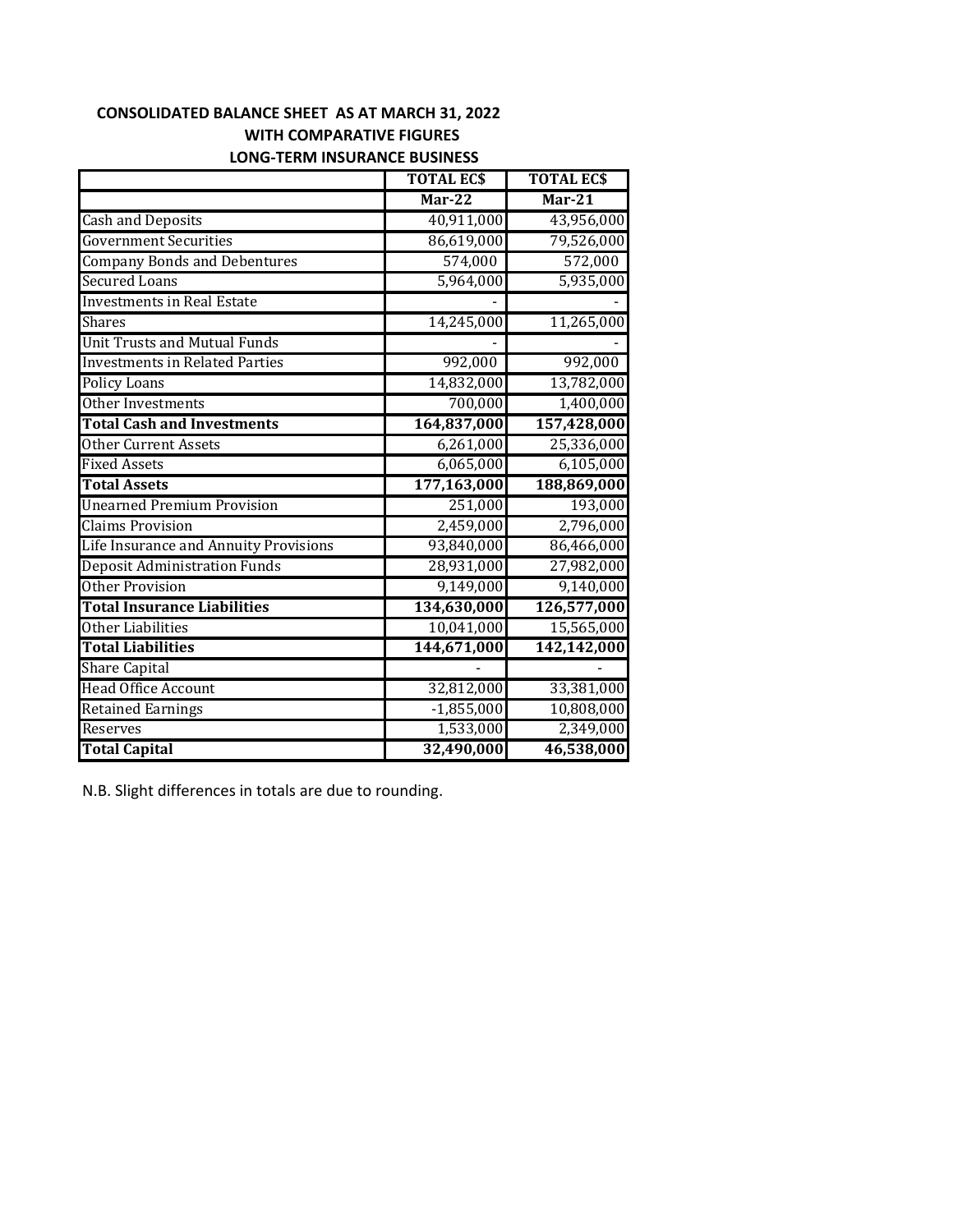# **CONSOLIDATED BALANCE SHEET AS AT MARCH 31, 2022 WITH COMPARATIVE FIGURES**

| <b>LONG-TERM INSURANCE BUSINESS</b> |  |  |
|-------------------------------------|--|--|
|-------------------------------------|--|--|

|                                       | <b>TOTAL ECS</b> | <b>TOTAL ECS</b> |
|---------------------------------------|------------------|------------------|
|                                       | $Mar-22$         | $Mar-21$         |
| <b>Cash and Deposits</b>              | 40,911,000       | 43,956,000       |
| <b>Government Securities</b>          | 86,619,000       | 79,526,000       |
| <b>Company Bonds and Debentures</b>   | 574,000          | 572,000          |
| Secured Loans                         | 5,964,000        | 5,935,000        |
| <b>Investments in Real Estate</b>     |                  |                  |
| <b>Shares</b>                         | 14,245,000       | 11,265,000       |
| <b>Unit Trusts and Mutual Funds</b>   |                  |                  |
| <b>Investments in Related Parties</b> | 992,000          | 992,000          |
| <b>Policy Loans</b>                   | 14,832,000       | 13,782,000       |
| Other Investments                     | 700,000          | 1,400,000        |
| <b>Total Cash and Investments</b>     | 164,837,000      | 157,428,000      |
| <b>Other Current Assets</b>           | 6,261,000        | 25,336,000       |
| <b>Fixed Assets</b>                   | 6,065,000        | 6,105,000        |
| <b>Total Assets</b>                   | 177,163,000      | 188,869,000      |
| <b>Unearned Premium Provision</b>     | 251,000          | 193,000          |
| <b>Claims Provision</b>               | 2,459,000        | 2,796,000        |
| Life Insurance and Annuity Provisions | 93,840,000       | 86,466,000       |
| <b>Deposit Administration Funds</b>   | 28,931,000       | 27,982,000       |
| Other Provision                       | 9,149,000        | 9,140,000        |
| <b>Total Insurance Liabilities</b>    | 134,630,000      | 126,577,000      |
| Other Liabilities                     | 10,041,000       | 15,565,000       |
| <b>Total Liabilities</b>              | 144,671,000      | 142,142,000      |
| <b>Share Capital</b>                  |                  |                  |
| <b>Head Office Account</b>            | 32,812,000       | 33,381,000       |
| <b>Retained Earnings</b>              | $-1,855,000$     | 10,808,000       |
| Reserves                              | 1,533,000        | 2,349,000        |
| <b>Total Capital</b>                  | 32,490,000       | 46,538,000       |

N.B. Slight differences in totals are due to rounding.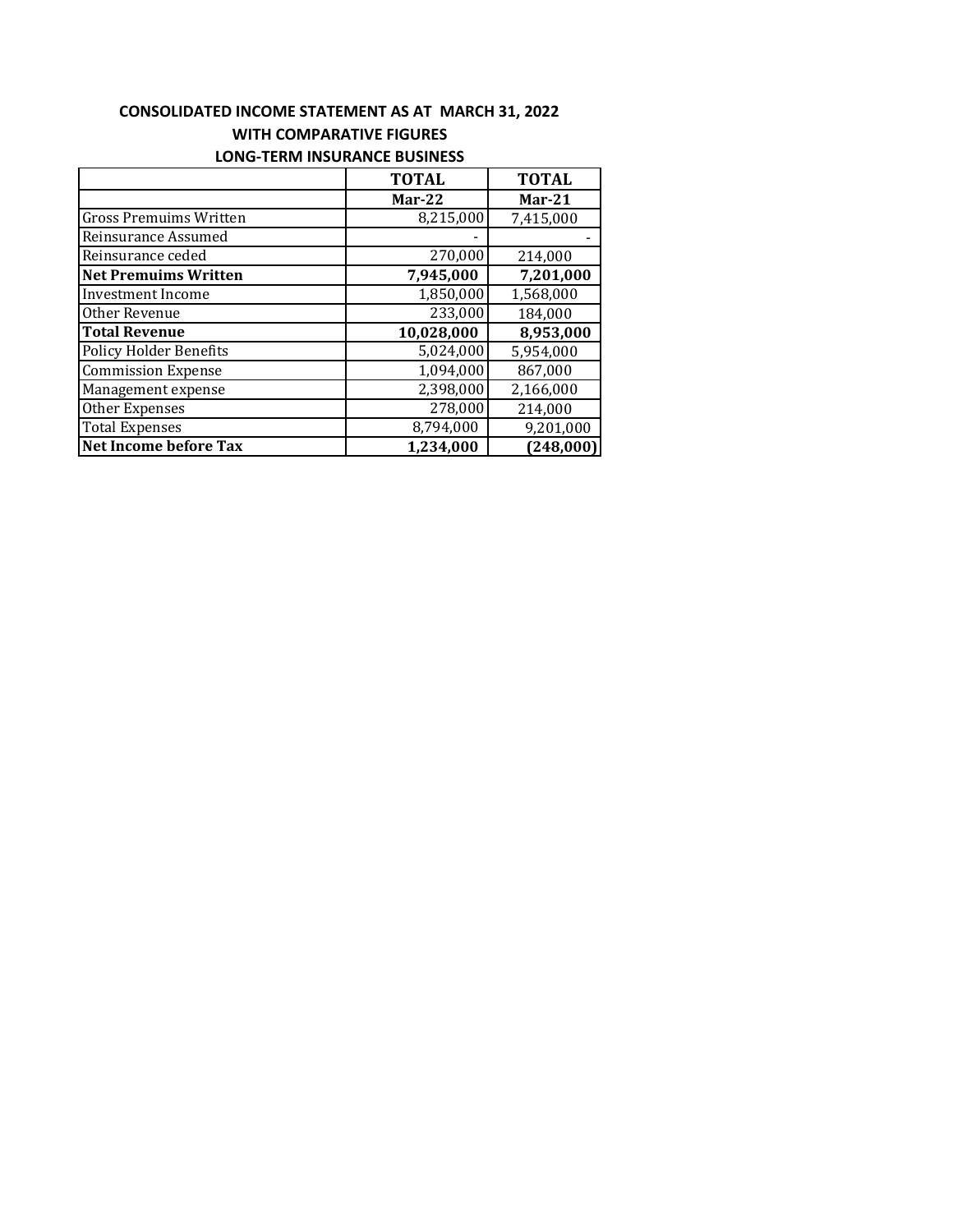# **CONSOLIDATED INCOME STATEMENT AS AT MARCH 31, 2022 WITH COMPARATIVE FIGURES LONG-TERM INSURANCE BUSINESS**

| <b>LONG-TERM INSURANCE BUSINESS</b> |  |
|-------------------------------------|--|
|-------------------------------------|--|

|                               | <b>TOTAL</b> | <b>TOTAL</b> |
|-------------------------------|--------------|--------------|
|                               | $Mar-22$     | $Mar-21$     |
| <b>Gross Premuims Written</b> | 8,215,000    | 7,415,000    |
| Reinsurance Assumed           |              |              |
| Reinsurance ceded             | 270,000      | 214,000      |
| <b>Net Premuims Written</b>   | 7,945,000    | 7,201,000    |
| Investment Income             | 1,850,000    | 1,568,000    |
| Other Revenue                 | 233,000      | 184,000      |
| <b>Total Revenue</b>          | 10,028,000   | 8,953,000    |
| <b>Policy Holder Benefits</b> | 5,024,000    | 5,954,000    |
| <b>Commission Expense</b>     | 1,094,000    | 867,000      |
| Management expense            | 2,398,000    | 2,166,000    |
| Other Expenses                | 278,000      | 214,000      |
| <b>Total Expenses</b>         | 8,794,000    | 9,201,000    |
| <b>Net Income before Tax</b>  | 1,234,000    | (248,000)    |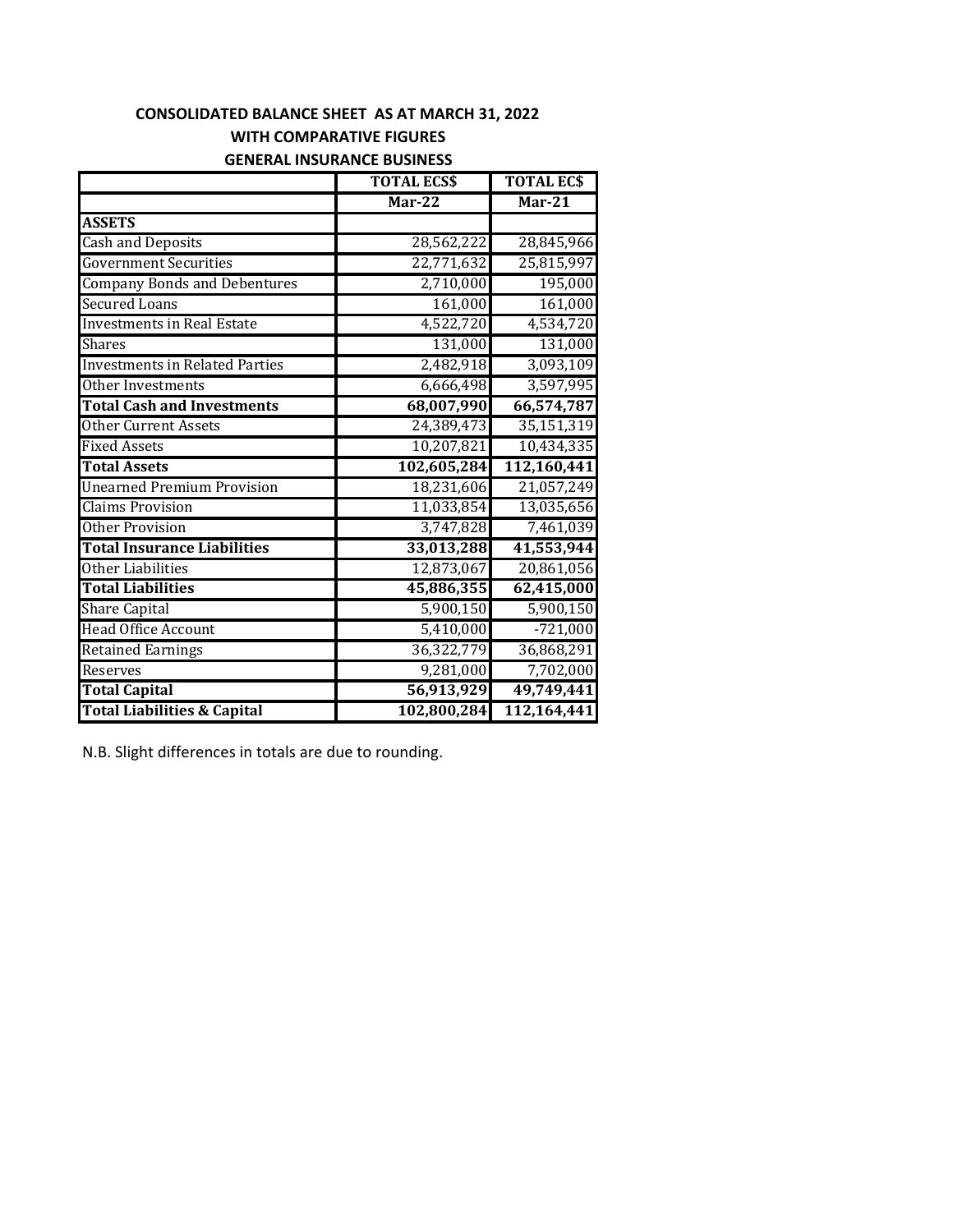## **CONSOLIDATED BALANCE SHEET AS AT MARCH 31, 2022 WITH COMPARATIVE FIGURES**

#### **GENERAL INSURANCE BUSINESS**

|                                        | <b>TOTAL ECS\$</b> | <b>TOTAL ECS</b> |
|----------------------------------------|--------------------|------------------|
|                                        | $Mar-22$           | $Mar-21$         |
| <b>ASSETS</b>                          |                    |                  |
| <b>Cash and Deposits</b>               | 28,562,222         | 28,845,966       |
| <b>Government Securities</b>           | 22,771,632         | 25,815,997       |
| <b>Company Bonds and Debentures</b>    | 2,710,000          | 195,000          |
| <b>Secured Loans</b>                   | 161,000            | 161,000          |
| <b>Investments in Real Estate</b>      | 4,522,720          | 4,534,720        |
| <b>Shares</b>                          | 131,000            | 131,000          |
| <b>Investments in Related Parties</b>  | 2,482,918          | 3,093,109        |
| Other Investments                      | 6,666,498          | 3,597,995        |
| <b>Total Cash and Investments</b>      | 68,007,990         | 66,574,787       |
| <b>Other Current Assets</b>            | 24,389,473         | 35,151,319       |
| <b>Fixed Assets</b>                    | 10,207,821         | 10,434,335       |
| <b>Total Assets</b>                    | 102,605,284        | 112,160,441      |
| <b>Unearned Premium Provision</b>      | 18,231,606         | 21,057,249       |
| <b>Claims Provision</b>                | 11,033,854         | 13,035,656       |
| <b>Other Provision</b>                 | 3,747,828          | 7,461,039        |
| <b>Total Insurance Liabilities</b>     | 33,013,288         | 41,553,944       |
| Other Liabilities                      | 12,873,067         | 20,861,056       |
| <b>Total Liabilities</b>               | 45,886,355         | 62,415,000       |
| <b>Share Capital</b>                   | 5,900,150          | 5,900,150        |
| <b>Head Office Account</b>             | 5,410,000          | $-721,000$       |
| Retained Earnings                      | 36,322,779         | 36,868,291       |
| Reserves                               | 9,281,000          | 7,702,000        |
| <b>Total Capital</b>                   | 56,913,929         | 49,749,441       |
| <b>Total Liabilities &amp; Capital</b> | 102,800,284        | 112,164,441      |

N.B. Slight differences in totals are due to rounding.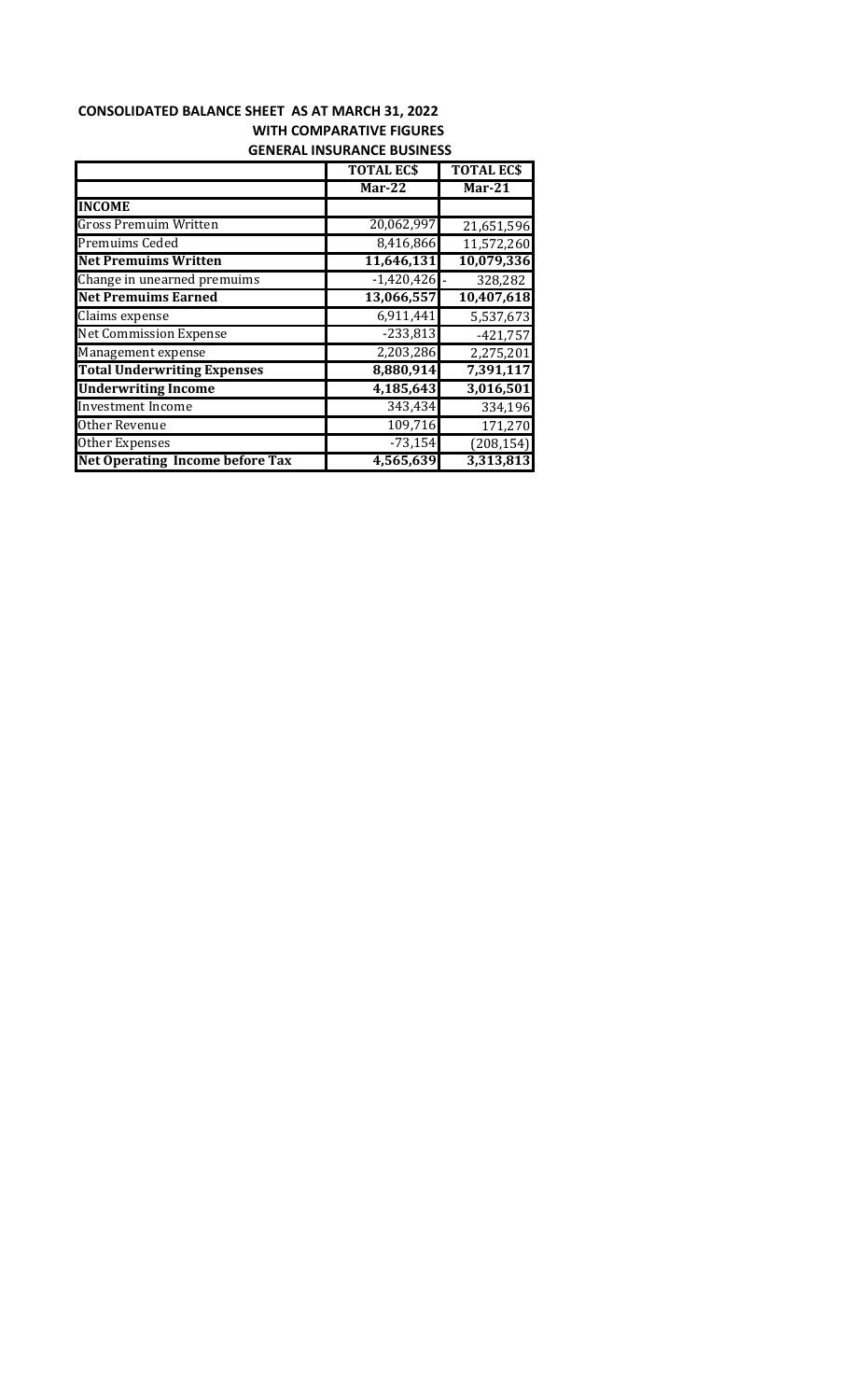## **CONSOLIDATED BALANCE SHEET AS AT MARCH 31, 2022 WITH COMPARATIVE FIGURES GENERAL INSURANCE BUSINESS**

|                                        | <b>TOTAL ECS</b> | <b>TOTAL ECS</b>        |
|----------------------------------------|------------------|-------------------------|
|                                        | $Mar-22$         | $Mar-21$                |
| <b>INCOME</b>                          |                  |                         |
| <b>Gross Premuim Written</b>           | 20,062,997       | 21,651,596              |
| Premuims Ceded                         | 8,416,866        | 11,572,260              |
| <b>Net Premuims Written</b>            | 11,646,131       | 10,079,336              |
| Change in unearned premuims            | $-1,420,426$     | 328,282                 |
| <b>Net Premuims Earned</b>             | 13,066,557       | $\overline{10,}407,618$ |
| Claims expense                         | 6,911,441        | 5,537,673               |
| <b>Net Commission Expense</b>          | $-233,813$       | $-421,757$              |
| Management expense                     | 2,203,286        | 2,275,201               |
| <b>Total Underwriting Expenses</b>     | 8,880,914        | 7,391,117               |
| <b>Underwriting Income</b>             | 4,185,643        | 3,016,501               |
| <b>Investment Income</b>               | 343,434          | 334,196                 |
| Other Revenue                          | 109,716          | 171,270                 |
| Other Expenses                         | $-73,154$        | (208, 154)              |
| <b>Net Operating Income before Tax</b> | 4,565,639        | 3,313,813               |